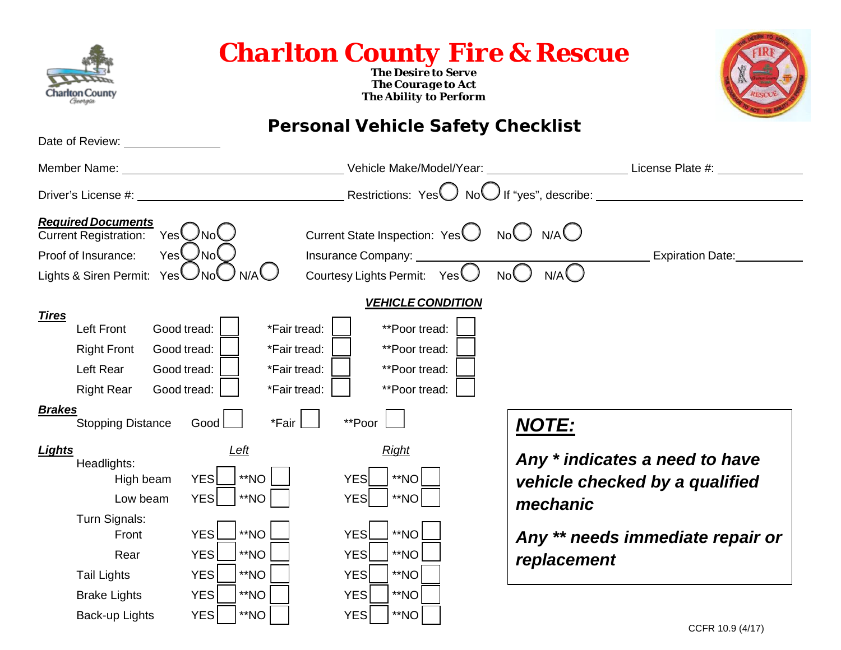| Charlton County<br><sub>Georgia</sub>                                                                                                                            |                                                                                                                                                                         | <b>Charlton County Fire &amp; Rescue</b><br><b>The Desire to Serve</b><br><b>The Courage to Act</b><br><b>The Ability to Perform</b>                  |                                                                                                                                                 |
|------------------------------------------------------------------------------------------------------------------------------------------------------------------|-------------------------------------------------------------------------------------------------------------------------------------------------------------------------|-------------------------------------------------------------------------------------------------------------------------------------------------------|-------------------------------------------------------------------------------------------------------------------------------------------------|
| Date of Review: <u>containing</u>                                                                                                                                |                                                                                                                                                                         | <b>Personal Vehicle Safety Checklist</b>                                                                                                              |                                                                                                                                                 |
|                                                                                                                                                                  |                                                                                                                                                                         |                                                                                                                                                       | Vehicle Make/Model/Year: ___________________________License Plate #: ___________                                                                |
|                                                                                                                                                                  |                                                                                                                                                                         |                                                                                                                                                       |                                                                                                                                                 |
| <b>Required Documents</b><br><b>Current Registration:</b><br>Proof of Insurance:<br>Lights & Siren Permit: Yes $\bigcup$ No $\bigcup$                            | YesCNoC<br>YesCNO<br>N/A                                                                                                                                                | Current State Inspection: $Yes$ No $\bigcup$ N/A $\bigcup$<br>Insurance Company: ________<br>Courtesy Lights Permit: $Yes$<br>No()                    | <b>Expiration Date:</b><br>N/A                                                                                                                  |
| <b>Tires</b><br><b>Left Front</b><br><b>Right Front</b><br>Left Rear<br><b>Right Rear</b><br><b>Brakes</b>                                                       | Good tread:<br>*Fair tread:<br>Good tread:<br>*Fair tread:<br>Good tread:<br>*Fair tread:<br>Good tread:<br>*Fair tread:                                                | <b>VEHICLE CONDITION</b><br>**Poor tread:<br>**Poor tread:<br>**Poor tread:<br>**Poor tread:                                                          |                                                                                                                                                 |
| <b>Stopping Distance</b><br><b>Lights</b><br>Headlights:<br>High beam<br>Low beam<br>Turn Signals:<br>Front<br>Rear<br><b>Tail Lights</b><br><b>Brake Lights</b> | *Fair<br>Good<br><u>Left</u><br>**NO<br><b>YES</b><br><b>YES</b><br>**NO<br><b>YES</b><br>**NO<br>YES <sup>[</sup><br>**NO<br><b>YES</b><br>**NO<br><b>YES</b><br>$*NO$ | **Poor<br><b>Right</b><br>**NO<br><b>YES</b><br>**NO<br><b>YES</b><br>**NO<br>YES<br>$*$ NO<br><b>YES</b><br><b>YES</b><br>**NO<br>**NO<br><b>YES</b> | <b>NOTE:</b><br>Any * indicates a need to have<br>vehicle checked by a qualified<br>mechanic<br>Any ** needs immediate repair or<br>replacement |
| Back-up Lights                                                                                                                                                   | <b>YES</b><br>**NO                                                                                                                                                      | $*$ NO<br><b>YES</b>                                                                                                                                  |                                                                                                                                                 |

**OESIRE TO SEX**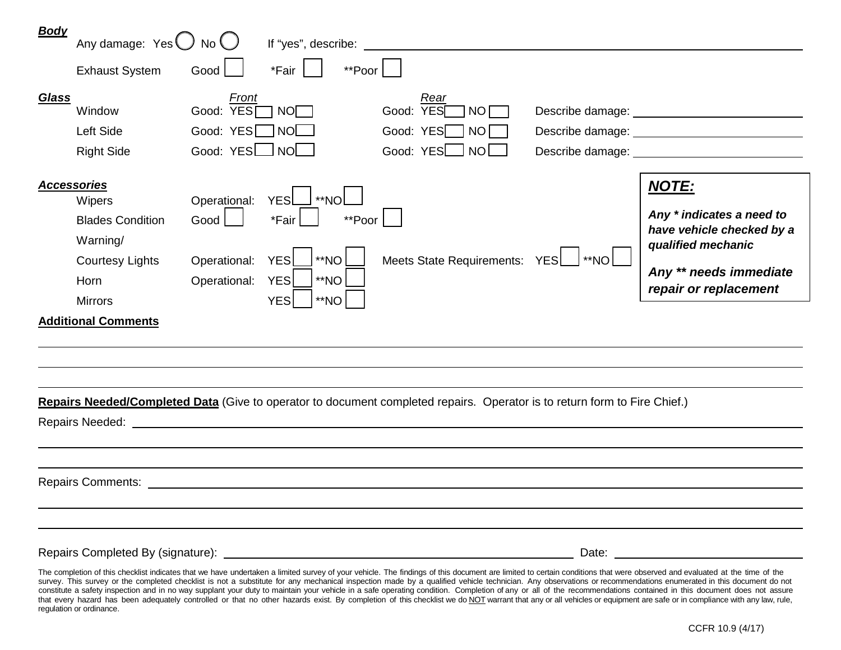| <u>Body</u>  | Any damage: $Yes \bigcup No \bigcup$                                                                                    |                                                                                | If "yes", describe: _______                                                                      |                                                                                                                           |                                                                          |                                                                                                                                                 |
|--------------|-------------------------------------------------------------------------------------------------------------------------|--------------------------------------------------------------------------------|--------------------------------------------------------------------------------------------------|---------------------------------------------------------------------------------------------------------------------------|--------------------------------------------------------------------------|-------------------------------------------------------------------------------------------------------------------------------------------------|
|              | <b>Exhaust System</b>                                                                                                   | Good                                                                           | *Fair<br>**Poor                                                                                  |                                                                                                                           |                                                                          |                                                                                                                                                 |
| <b>Glass</b> | Window<br>Left Side<br><b>Right Side</b>                                                                                | Front<br>Good: YES <sup>[]</sup><br>Good: YES <sub>I</sub> NO<br>Good: YESL NO | NO                                                                                               | Rear<br>YES<br>Good:<br><b>NO</b><br>Good: YES<br>-NO<br>Good: YES<br><b>NO</b>                                           | Describe damage: __________________<br>Describe damage: <u>contracts</u> | Describe damage: ____________________                                                                                                           |
|              | <b>Accessories</b><br>Wipers<br><b>Blades Condition</b><br>Warning/<br><b>Courtesy Lights</b><br>Horn<br><b>Mirrors</b> | Operational:<br>Good<br>Operational:<br>Operational:                           | **NO<br><b>YES</b><br>*Fair<br>**Poor<br>**NO<br><b>YES</b><br>YES<br>**NO<br>**NO<br><b>YES</b> | <b>Meets State Requirements:</b>                                                                                          | $*NO$<br><b>YES</b>                                                      | <b>NOTE:</b><br>Any * indicates a need to<br>have vehicle checked by a<br>qualified mechanic<br>Any ** needs immediate<br>repair or replacement |
|              | <b>Additional Comments</b><br>Repairs Needed:                                                                           |                                                                                |                                                                                                  | Repairs Needed/Completed Data (Give to operator to document completed repairs. Operator is to return form to Fire Chief.) |                                                                          |                                                                                                                                                 |

Repairs Completed By (signature): Date:

The completion of this checklist indicates that we have undertaken a limited survey of your vehicle. The findings of this document are limited to certain conditions that were observed and evaluated at the time of the survey. This survey or the completed checklist is not a substitute for any mechanical inspection made by a qualified vehicle technician. Any observations or recommendations enumerated in this document do not constitute a safety inspection and in no way supplant your duty to maintain your vehicle in a safe operating condition. Completion of any or all of the recommendations contained in this document does not assure that every hazard has been adequately controlled or that no other hazards exist. By completion of this checklist we do NOT warrant that any or all vehicles or equipment are safe or in compliance with any law, rule, regulation or ordinance.

Repairs Comments: <u>example and the comments:</u> example and the comments: example and the comments: example and the comments of the comments of the comments of the comments of the comments of the comments of the comments of